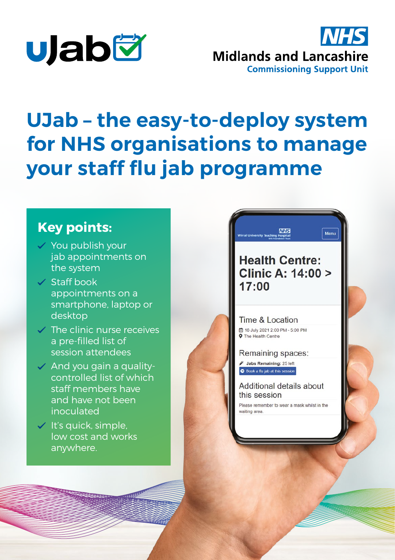



# **UJab – the easy-to-deploy system for NHS organisations to manage your staff flu jab programme**

### **Key points:**

- $\checkmark$  You publish your jab appointments on the system
- $\vee$  Staff book appointments on a smartphone, laptop or desktop
- $\vee$  The clinic nurse receives a pre-filled list of session attendees
- $\checkmark$  And you gain a qualitycontrolled list of which staff members have and have not been inoculated
- $\checkmark$  It's quick, simple, low cost and works anywhere.

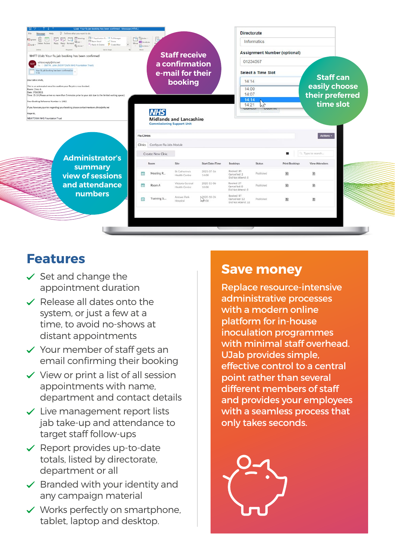

#### **Features**

- $\checkmark$  Set and change the appointment duration
- $\checkmark$  Release all dates onto the system, or just a few at a time, to avoid no-shows at distant appointments
- $\checkmark$  Your member of staff gets an email confirming their booking
- $\checkmark$  View or print a list of all session appointments with name, department and contact details
- $\checkmark$  Live management report lists jab take-up and attendance to target staff follow-ups
- $\checkmark$  Report provides up-to-date totals, listed by directorate, department or all
- $\checkmark$  Branded with your identity and any campaign material
- $\checkmark$  Works perfectly on smartphone. tablet, laptop and desktop.

#### **Save money**

Replace resource-intensive administrative processes with a modern online platform for in-house inoculation programmes with minimal staff overhead. UJab provides simple, effective control to a central point rather than several different members of staff and provides your employees with a seamless process that only takes seconds.

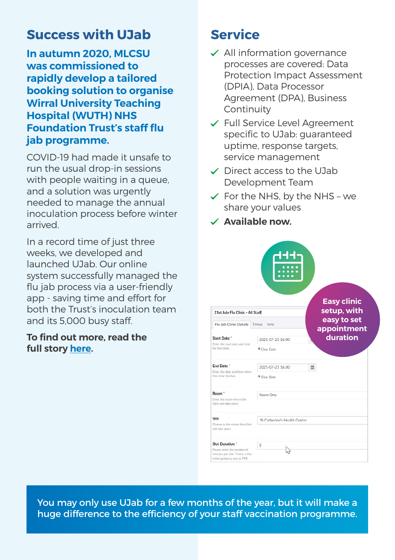### **Success with UJab**

**In autumn 2020, MLCSU was commissioned to rapidly develop a tailored booking solution to organise Wirral University Teaching Hospital (WUTH) NHS Foundation Trust's staff flu jab programme.** 

COVID-19 had made it unsafe to run the usual drop-in sessions with people waiting in a queue, and a solution was urgently needed to manage the annual inoculation process before winter arrived.

In a record time of just three weeks, we developed and launched UJab. Our online system successfully managed the flu jab process via a user-friendly app - saving time and effort for both the Trust's inoculation team and its 5,000 busy staff.

#### **To find out more, read the full story [here.](https://www.midlandsandlancashirecsu.nhs.uk/csu-case-study/rapidly-developing-a-bespoke-booking-system-for-flu-jabs/)**

### **Service**

- $\checkmark$  All information governance processes are covered: Data Protection Impact Assessment (DPIA), Data Processor Agreement (DPA), Business Continuity
- Full Service Level Agreement specific to UJab: guaranteed uptime, response targets, service management
- $\checkmark$  Direct access to the UJab Development Team
- $\checkmark$  For the NHS, by the NHS we share your values
- **Available now.**

|                                                                                                                        | 0000<br>000000<br>ö<br>0 <sub>0</sub> |                                   |
|------------------------------------------------------------------------------------------------------------------------|---------------------------------------|-----------------------------------|
| 21st July Flu Clinic - All Staff                                                                                       |                                       | <b>Easy clinic</b><br>setup, with |
| Flu Jab Clinic Details                                                                                                 | Times<br>Info                         | easy to set<br>appointment        |
| Start Date *<br>Enter the start date and time<br>for this clinic.                                                      | 2021-07-21 15:00                      | duration                          |
|                                                                                                                        | X Clear Date                          |                                   |
| End Date *<br>Enter the date and time when<br>this clinic finishes.                                                    | 2021-07-21 16:30                      | $\mathbb{G}$                      |
|                                                                                                                        | X Clear Date                          |                                   |
| Room <sup>*</sup>                                                                                                      | Room One                              |                                   |
| Enter the room where the<br>clinic will take place.                                                                    |                                       |                                   |
| Site                                                                                                                   | St Catherine's Health Centre          |                                   |
| Choose a site where the clinic<br>will take place                                                                      |                                       |                                   |
| <b>Slot Duration</b> *<br>Please enter the number of<br>minutes per slot. 7 mins is the<br>initial guidance due to PPE | 8                                     |                                   |
|                                                                                                                        |                                       |                                   |

You may only use UJab for a few months of the year, but it will make a huge difference to the efficiency of your staff vaccination programme.